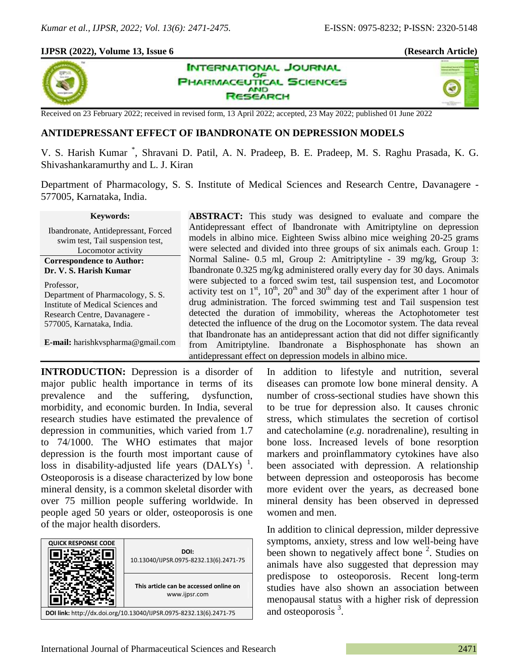## **IJPSR (2022), Volume 13, Issue 6 (Research Article)**



×,



Received on 23 February 2022; received in revised form, 13 April 2022; accepted, 23 May 2022; published 01 June 2022

# **ANTIDEPRESSANT EFFECT OF IBANDRONATE ON DEPRESSION MODELS**

V. S. Harish Kumar \* , Shravani D. Patil, A. N. Pradeep, B. E. Pradeep, M. S. Raghu Prasada, K. G. Shivashankaramurthy and L. J. Kiran

Department of Pharmacology, S. S. Institute of Medical Sciences and Research Centre, Davanagere - 577005, Karnataka, India.

#### **Keywords:**

Ibandronate, Antidepressant, Forced swim test, Tail suspension test, Locomotor activity **Correspondence to Author: Dr. V. S. Harish Kumar**  Professor, Department of Pharmacology, S. S. Institute of Medical Sciences and Research Centre, Davanagere - 577005, Karnataka, India.

**E-mail:** harishkvspharma@gmail.com

**ABSTRACT:** This study was designed to evaluate and compare the Antidepressant effect of Ibandronate with Amitriptyline on depression models in albino mice. Eighteen Swiss albino mice weighing 20-25 grams were selected and divided into three groups of six animals each. Group 1: Normal Saline- 0.5 ml, Group 2: Amitriptyline - 39 mg/kg, Group 3: Ibandronate 0.325 mg/kg administered orally every day for 30 days. Animals were subjected to a forced swim test, tail suspension test, and Locomotor activity test on  $1<sup>st</sup>$ ,  $10<sup>th</sup>$ ,  $20<sup>th</sup>$  and  $30<sup>th</sup>$  day of the experiment after 1 hour of drug administration. The forced swimming test and Tail suspension test detected the duration of immobility, whereas the Actophotometer test detected the influence of the drug on the Locomotor system. The data reveal that Ibandronate has an antidepressant action that did not differ significantly from Amitriptyline. Ibandronate a Bisphosphonate has shown an antidepressant effect on depression models in albino mice.

**INTRODUCTION:** Depression is a disorder of major public health importance in terms of its prevalence and the suffering, dysfunction, morbidity, and economic burden. In India, several research studies have estimated the prevalence of depression in communities, which varied from 1.7 to 74/1000. The WHO estimates that major depression is the fourth most important cause of loss in disability-adjusted life years (DALYs)<sup>1</sup>. Osteoporosis is a disease characterized by low bone mineral density, is a common skeletal disorder with over 75 million people suffering worldwide. In people aged 50 years or older, osteoporosis is one of the major health disorders.



In addition to lifestyle and nutrition, several diseases can promote low bone mineral density. A number of cross-sectional studies have shown this to be true for depression also. It causes chronic stress, which stimulates the secretion of cortisol and catecholamine (*e.g*. noradrenaline), resulting in bone loss. Increased levels of bone resorption markers and proinflammatory cytokines have also been associated with depression. A relationship between depression and osteoporosis has become more evident over the years, as decreased bone mineral density has been observed in depressed women and men.

In addition to clinical depression, milder depressive symptoms, anxiety, stress and low well-being have been shown to negatively affect bone<sup>2</sup>. Studies on animals have also suggested that depression may predispose to osteoporosis. Recent long-term studies have also shown an association between menopausal status with a higher risk of depression and osteoporosis<sup>3</sup>.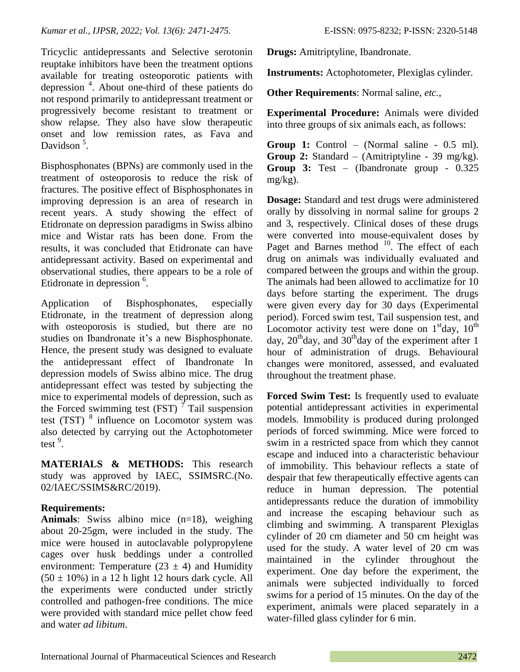Tricyclic antidepressants and Selective serotonin reuptake inhibitors have been the treatment options available for treating osteoporotic patients with depression 4 . About one-third of these patients do not respond primarily to antidepressant treatment or progressively become resistant to treatment or show relapse. They also have slow therapeutic onset and low remission rates, as Fava and Davidson<sup>5</sup>.

Bisphosphonates (BPNs) are commonly used in the treatment of osteoporosis to reduce the risk of fractures. The positive effect of Bisphosphonates in improving depression is an area of research in recent years. A study showing the effect of Etidronate on depression paradigms in Swiss albino mice and Wistar rats has been done. From the results, it was concluded that Etidronate can have antidepressant activity. Based on experimental and observational studies, there appears to be a role of Etidronate in depression <sup>6</sup>.

Application of Bisphosphonates, especially Etidronate, in the treatment of depression along with osteoporosis is studied, but there are no studies on Ibandronate it's a new Bisphosphonate. Hence, the present study was designed to evaluate the antidepressant effect of Ibandronate In depression models of Swiss albino mice. The drug antidepressant effect was tested by subjecting the mice to experimental models of depression, such as the Forced swimming test (FST)  $\tau$  Tail suspension test (TST) <sup>8</sup> influence on Locomotor system was also detected by carrying out the Actophotometer test<sup>9</sup>.

**MATERIALS & METHODS:** This research study was approved by IAEC, SSIMSRC.(No. 02/IAEC/SSIMS&RC/2019).

# **Requirements:**

**Animals**: Swiss albino mice (n=18), weighing about 20-25gm, were included in the study. The mice were housed in autoclavable polypropylene cages over husk beddings under a controlled environment: Temperature  $(23 \pm 4)$  and Humidity  $(50 \pm 10\%)$  in a 12 h light 12 hours dark cycle. All the experiments were conducted under strictly controlled and pathogen-free conditions. The mice were provided with standard mice pellet chow feed and water *ad libitum*.

**Drugs:** Amitriptyline, Ibandronate.

**Instruments:** Actophotometer, Plexiglas cylinder.

**Other Requirements**: Normal saline, *etc.*,

**Experimental Procedure:** Animals were divided into three groups of six animals each, as follows:

**Group 1:** Control – (Normal saline - 0.5 ml). **Group 2:** Standard – (Amitriptyline - 39 mg/kg). **Group 3:** Test – (Ibandronate group - 0.325 mg/kg).

**Dosage:** Standard and test drugs were administered orally by dissolving in normal saline for groups 2 and 3, respectively. Clinical doses of these drugs were converted into mouse-equivalent doses by Paget and Barnes method  $10$ . The effect of each drug on animals was individually evaluated and compared between the groups and within the group. The animals had been allowed to acclimatize for 10 days before starting the experiment. The drugs were given every day for 30 days (Experimental period). Forced swim test, Tail suspension test, and Locomotor activity test were done on  $1<sup>st</sup>$ day,  $10<sup>th</sup>$ day,  $20<sup>th</sup>$ day, and  $30<sup>th</sup>$ day of the experiment after 1 hour of administration of drugs. Behavioural changes were monitored, assessed, and evaluated throughout the treatment phase.

**Forced Swim Test:** Is frequently used to evaluate potential antidepressant activities in experimental models. Immobility is produced during prolonged periods of forced swimming. Mice were forced to swim in a restricted space from which they cannot escape and induced into a characteristic behaviour of immobility. This behaviour reflects a state of despair that few therapeutically effective agents can reduce in human depression. The potential antidepressants reduce the duration of immobility and increase the escaping behaviour such as climbing and swimming. A transparent Plexiglas cylinder of 20 cm diameter and 50 cm height was used for the study. A water level of 20 cm was maintained in the cylinder throughout the experiment. One day before the experiment, the animals were subjected individually to forced swims for a period of 15 minutes. On the day of the experiment, animals were placed separately in a water-filled glass cylinder for 6 min.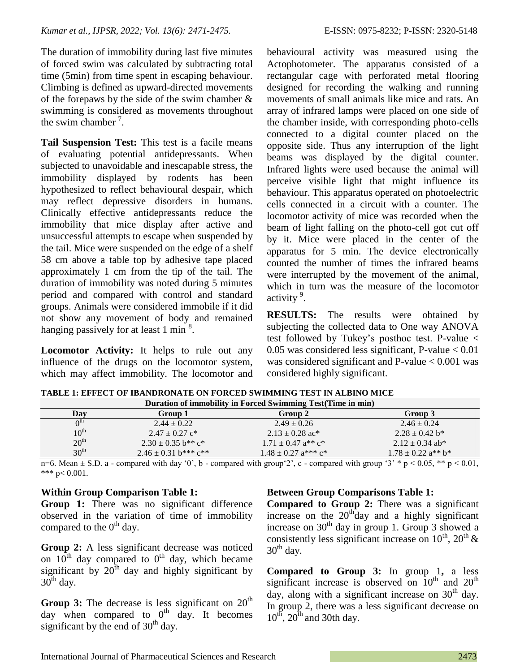The duration of immobility during last five minutes of forced swim was calculated by subtracting total time (5min) from time spent in escaping behaviour. Climbing is defined as upward-directed movements of the forepaws by the side of the swim chamber  $\&$ swimming is considered as movements throughout the swim chamber<sup>7</sup>.

**Tail Suspension Test:** This test is a facile means of evaluating potential antidepressants. When subjected to unavoidable and inescapable stress, the immobility displayed by rodents has been hypothesized to reflect behavioural despair, which may reflect depressive disorders in humans. Clinically effective antidepressants reduce the immobility that mice display after active and unsuccessful attempts to escape when suspended by the tail. Mice were suspended on the edge of a shelf 58 cm above a table top by adhesive tape placed approximately 1 cm from the tip of the tail. The duration of immobility was noted during 5 minutes period and compared with control and standard groups. Animals were considered immobile if it did not show any movement of body and remained hanging passively for at least 1 min<sup>8</sup>.

**Locomotor Activity:** It helps to rule out any influence of the drugs on the locomotor system, which may affect immobility. The locomotor and behavioural activity was measured using the Actophotometer. The apparatus consisted of a rectangular cage with perforated metal flooring designed for recording the walking and running movements of small animals like mice and rats. An array of infrared lamps were placed on one side of the chamber inside, with corresponding photo-cells connected to a digital counter placed on the opposite side. Thus any interruption of the light beams was displayed by the digital counter. Infrared lights were used because the animal will perceive visible light that might influence its behaviour. This apparatus operated on photoelectric cells connected in a circuit with a counter. The locomotor activity of mice was recorded when the beam of light falling on the photo-cell got cut off by it. Mice were placed in the center of the apparatus for 5 min. The device electronically counted the number of times the infrared beams were interrupted by the movement of the animal, which in turn was the measure of the locomotor activity<sup>9</sup>.

**RESULTS:** The results were obtained by subjecting the collected data to One way ANOVA test followed by Tukey's posthoc test. P-value <  $0.05$  was considered less significant, P-value  $< 0.01$ was considered significant and  $P$ -value  $< 0.001$  was considered highly significant.

| Duration of immobility in Forced Swimming Test(Time in min) |                                                |                                                 |                                                |  |  |  |
|-------------------------------------------------------------|------------------------------------------------|-------------------------------------------------|------------------------------------------------|--|--|--|
| Day                                                         | Group 1                                        | Group 2                                         | Group 3                                        |  |  |  |
| $\Lambda^{\text{th}}$                                       | $2.44 \pm 0.22$                                | $2.49 \pm 0.26$                                 | $2.46 \pm 0.24$                                |  |  |  |
| $10^{\text{th}}$                                            | $2.47 \pm 0.27$ c <sup>*</sup>                 | $2.13 \pm 0.28$ ac*                             | $2.28 \pm 0.42$ b*                             |  |  |  |
| 20 <sup>th</sup>                                            | $2.30 \pm 0.35$ b <sup>**</sup> c <sup>*</sup> | $1.71 \pm 0.47$ a <sup>**</sup> c <sup>*</sup>  | $2.12 \pm 0.34$ ab*                            |  |  |  |
| 30 <sup>th</sup>                                            | $2.46 \pm 0.31$ b*** c**                       | $1.48 \pm 0.27$ a <sup>***</sup> c <sup>*</sup> | $1.78 \pm 0.22$ a <sup>**</sup> b <sup>*</sup> |  |  |  |

**TABLE 1: EFFECT OF IBANDRONATE ON FORCED SWIMMING TEST IN ALBINO MICE**

n=6. Mean  $\pm$  S.D. a - compared with day '0', b - compared with group'2', c - compared with group '3' \* p < 0.05, \*\* p < 0.01, \*\*\*  $p < 0.001$ .

# **Within Group Comparison Table 1:**

**Group 1:** There was no significant difference observed in the variation of time of immobility compared to the  $0<sup>th</sup>$  day.

**Group 2:** A less significant decrease was noticed on  $10^{th}$  day compared to  $0^{th}$  day, which became significant by  $20^{\text{th}}$  day and highly significant by  $30<sup>th</sup>$  day.

**Group 3:** The decrease is less significant on  $20<sup>th</sup>$ day when compared to  $0<sup>th</sup>$  day. It becomes significant by the end of  $30<sup>th</sup>$  day.

# **Between Group Comparisons Table 1:**

**Compared to Group 2:** There was a significant increase on the  $20<sup>th</sup>$ day and a highly significant increase on  $30<sup>th</sup>$  day in group 1. Group 3 showed a consistently less significant increase on  $10^{th}$ ,  $20^{th} \&$  $30<sup>th</sup>$  day.

**Compared to Group 3:** In group 1**,** a less significant increase is observed on  $10^{th}$  and  $20^{th}$ day, along with a significant increase on  $30<sup>th</sup>$  day. In group 2, there was a less significant decrease on  $10^{th}$ ,  $20^{th}$  and 30th day.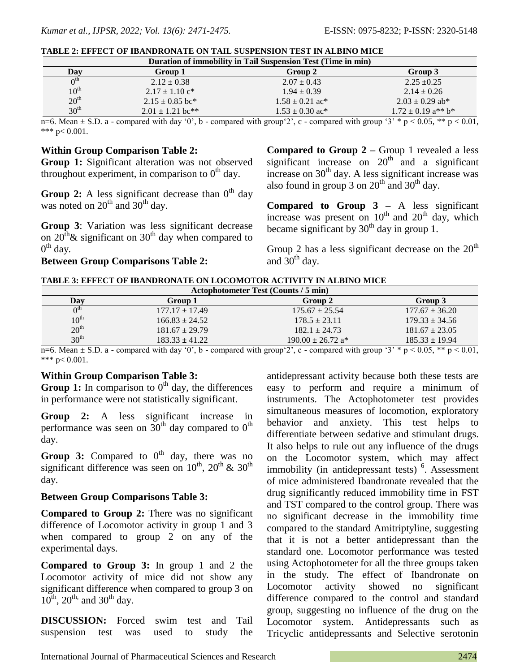| Duration of immobility in Tail Suspension Test (Time in min) |                                |                                                            |                                                |  |  |  |
|--------------------------------------------------------------|--------------------------------|------------------------------------------------------------|------------------------------------------------|--|--|--|
| Day                                                          | Group 1                        | Group 2                                                    | Group 3                                        |  |  |  |
| 0 <sup>th</sup>                                              | $2.12 \pm 0.38$                | $2.07 \pm 0.43$                                            | $2.25 \pm 0.25$                                |  |  |  |
| $10^{\text{th}}$                                             | $2.17 \pm 1.10$ c <sup>*</sup> | $1.94 \pm 0.39$                                            | $2.14 \pm 0.26$                                |  |  |  |
| 20 <sup>th</sup>                                             | $2.15 \pm 0.85$ bc*            | $1.58 \pm 0.21$ ac*                                        | $2.03 \pm 0.29$ ab*                            |  |  |  |
| 30 <sup>th</sup>                                             | $2.01 \pm 1.21$ bc**           | $1.53 \pm 0.30$ ac*                                        | $1.72 \pm 0.19$ a <sup>**</sup> b <sup>*</sup> |  |  |  |
| --<br>- - -                                                  | .                              | $\cdot$ $\cdot$<br>$\cdot$ $\cdot$<br>$\sim$ $\sim$ $\sim$ | $\sim$ $\sim$ $\sim$                           |  |  |  |

n=6. Mean  $\pm$  S.D. a - compared with day '0', b - compared with group'2', c - compared with group '3' \* p < 0.05, \*\* p < 0.01, \*\*\*  $p < 0.001$ .

#### **Within Group Comparison Table 2:**

**Group 1:** Significant alteration was not observed throughout experiment, in comparison to  $0<sup>th</sup>$  day.

**Group 2:** A less significant decrease than  $0<sup>th</sup>$  day was noted on  $20^{th}$  and  $30^{th}$  day.

**Group 3**: Variation was less significant decrease on  $20^{\text{th}}$  & significant on  $30^{\text{th}}$  day when compared to  $0^{\text{th}}$  day.

#### **Between Group Comparisons Table 2:**

**Compared to Group 2 –** Group 1 revealed a less significant increase on  $20<sup>th</sup>$  and a significant increase on  $30<sup>th</sup>$  day. A less significant increase was also found in group  $3$  on  $20^{th}$  and  $30^{th}$  day.

**Compared to Group 3 –** A less significant increase was present on  $10^{th}$  and  $20^{th}$  day, which became significant by  $30<sup>th</sup>$  day in group 1.

Group 2 has a less significant decrease on the  $20<sup>th</sup>$ and  $30<sup>th</sup>$  day.

| TABLE 3: EFFECT OF IBANDRONATE ON LOCOMOTOR ACTIVITY IN ALBINO MICE |  |  |
|---------------------------------------------------------------------|--|--|
|                                                                     |  |  |

| Actophotometer Test (Counts / 5 min) |                                                |                                                     |                    |  |  |  |
|--------------------------------------|------------------------------------------------|-----------------------------------------------------|--------------------|--|--|--|
| Day                                  | Group 1                                        | Group 2                                             | Group 3            |  |  |  |
| $\Omega^{\text{th}}$                 | $177.17 \pm 17.49$                             | $175.67 \pm 25.54$                                  | $177.67 \pm 36.20$ |  |  |  |
| $10^{\text{th}}$                     | $166.83 \pm 24.52$                             | $178.5 \pm 23.11$                                   | $179.33 \pm 34.56$ |  |  |  |
| 20 <sup>th</sup>                     | $181.67 \pm 29.79$                             | $182.1 \pm 24.73$                                   | $181.67 \pm 23.05$ |  |  |  |
| 30 <sup>th</sup>                     | $183.33 + 41.22$                               | $190.00 \pm 26.72$ a <sup>*</sup>                   | $185.33 \pm 19.94$ |  |  |  |
| $ -$<br>$\sim$ $\sim$                | $\cdots$<br>$\sim$ $\sim$ $\sim$ $\sim$ $\sim$ | $\cdot$ $\cdot$<br>$\cdot$ $\cdot$<br>$\sim$ $\sim$ | $\sqrt{2}$         |  |  |  |

n=6. Mean  $\pm$  S.D. a - compared with day '0', b - compared with group'2', c - compared with group '3' \* p < 0.05, \*\* p < 0.01, \*\*\* p< 0.001.

### **Within Group Comparison Table 3:**

**Group 1:** In comparison to  $0<sup>th</sup>$  day, the differences in performance were not statistically significant.

**Group 2:** A less significant increase in performance was seen on  $30<sup>th</sup>$  day compared to  $0<sup>th</sup>$ day.

Group 3: Compared to 0<sup>th</sup> day, there was no significant difference was seen on  $10^{th}$ ,  $20^{th}$  &  $30^{th}$ day.

#### **Between Group Comparisons Table 3:**

**Compared to Group 2:** There was no significant difference of Locomotor activity in group 1 and 3 when compared to group 2 on any of the experimental days.

**Compared to Group 3:** In group 1 and 2 the Locomotor activity of mice did not show any significant difference when compared to group 3 on  $10^{th}$ ,  $20^{th}$  and  $30^{th}$  day.

**DISCUSSION:** Forced swim test and Tail suspension test was used to study the antidepressant activity because both these tests are easy to perform and require a minimum of instruments. The Actophotometer test provides simultaneous measures of locomotion, exploratory behavior and anxiety. This test helps to differentiate between sedative and stimulant drugs. It also helps to rule out any influence of the drugs on the Locomotor system, which may affect immobility (in antidepressant tests)<sup>6</sup>. Assessment of mice administered Ibandronate revealed that the drug significantly reduced immobility time in FST and TST compared to the control group. There was no significant decrease in the immobility time compared to the standard Amitriptyline, suggesting that it is not a better antidepressant than the standard one. Locomotor performance was tested using Actophotometer for all the three groups taken in the study. The effect of Ibandronate on Locomotor activity showed no significant difference compared to the control and standard group, suggesting no influence of the drug on the Locomotor system. Antidepressants such as Tricyclic antidepressants and Selective serotonin